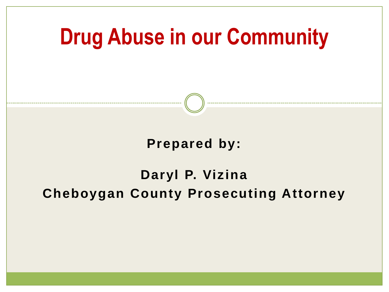**Drug Abuse in our Community**

### **Prepared by:**

### **Daryl P. Vizina Cheboygan County Prosecuting Attorney**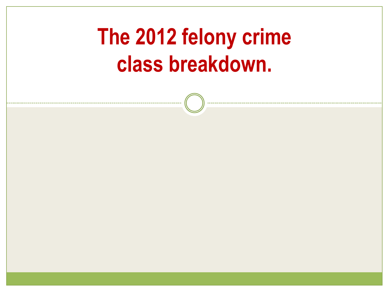### **The 2012 felony crime class breakdown.**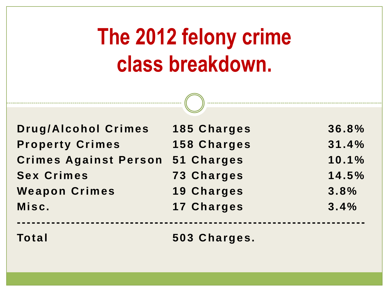### **The 2012 felony crime class breakdown.**

| <b>Drug/Alcohol Crimes</b>   | <b>185 Charges</b> | 36.8% |
|------------------------------|--------------------|-------|
| <b>Property Crimes</b>       | <b>158 Charges</b> | 31.4% |
| <b>Crimes Against Person</b> | 51 Charges         | 10.1% |
| <b>Sex Crimes</b>            | <b>73 Charges</b>  | 14.5% |
| <b>Weapon Crimes</b>         | <b>19 Charges</b>  | 3.8%  |
| Misc.                        | <b>17 Charges</b>  | 3.4%  |
| <b>Total</b>                 | 503 Charges.       |       |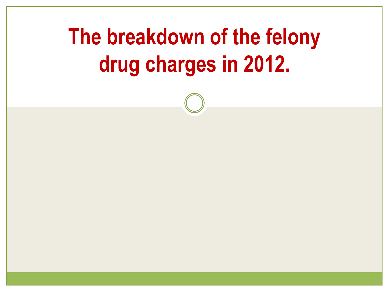### **The breakdown of the felony drug charges in 2012.**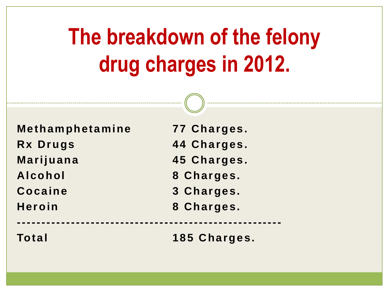### **The breakdown of the felony drug charges in 2012.**

**Methamphetamine 77 Charges. Rx Drugs 44 Charges. Marijuana 45 Charges. Alcohol 8 Charges. Cocaine 3 Charges. Heroin 8 Charges. ------------------------------------------------------ Total 185 Charges.**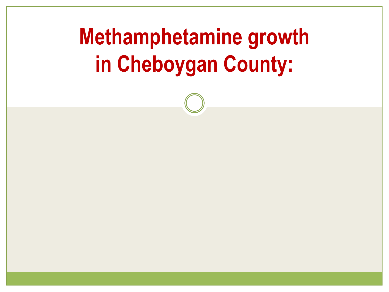### **Methamphetamine growth in Cheboygan County:**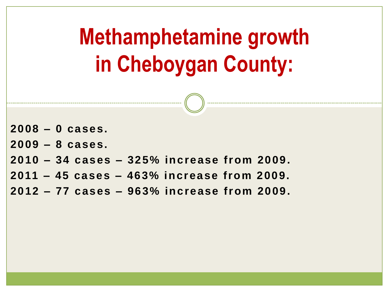**2008 – 0 cases. 2009 – 8 cases. 2010 – 34 cases – 325% increase from 2009. 2011 – 45 cases – 463% increase from 2009. 2012 – 77 cases – 963% increase from 2009. Methamphetamine growth in Cheboygan County:**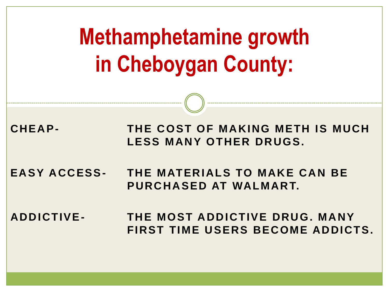| <b>Methamphetamine growth</b><br>in Cheboygan County: |                                                                   |  |  |
|-------------------------------------------------------|-------------------------------------------------------------------|--|--|
|                                                       |                                                                   |  |  |
| CHEAP-                                                | THE COST OF MAKING METH IS MUCH<br><b>LESS MANY OTHER DRUGS.</b>  |  |  |
| <b>EASY ACCESS-</b>                                   | THE MATERIALS TO MAKE CAN BE<br>PURCHASED AT WALMART.             |  |  |
| <b>ADDICTIVE-</b>                                     | THE MOST ADDICTIVE DRUG. MANY<br>FIRST TIME USERS BECOME ADDICTS. |  |  |
|                                                       |                                                                   |  |  |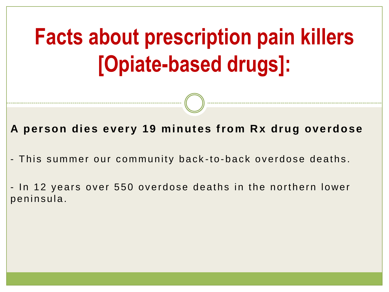**A person dies every 19 minutes from Rx drug overdose**

- This summer our community back-to-back overdose deaths.

- In 12 years over 550 overdose deaths in the northern lower penins ula.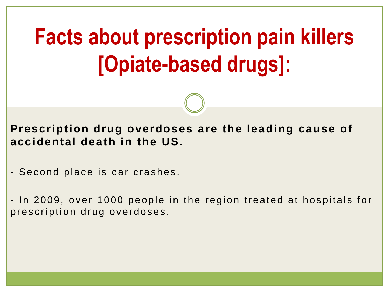**Prescription drug overdoses are the leading cause of accidental death in the US.** 

- Second place is car crashes.

- In 2009, over 1000 people in the region treated at hospitals for prescription drug overdoses.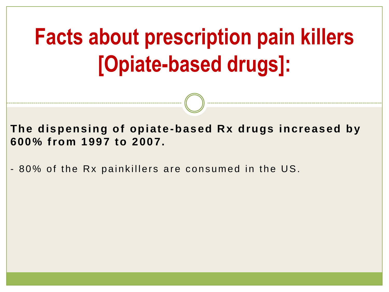**The dispensing of opiate -based Rx drugs increased by 600% from 1997 to 2007.**

- 80% of the Rx painkillers are consumed in the US.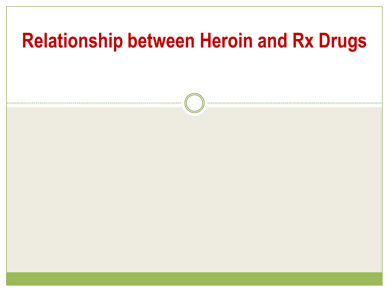# **Relationship between Heroin and Rx Drugs**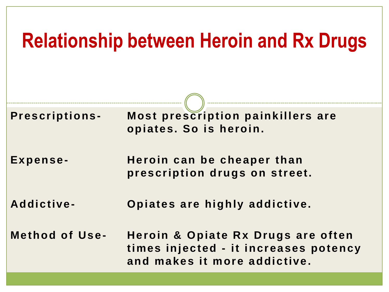### **Relationship between Heroin and Rx Drugs**

| <b>Prescriptions-</b> | Most prescription painkillers are<br>opiates. So is heroin.                                                 |
|-----------------------|-------------------------------------------------------------------------------------------------------------|
| Expense-              | Heroin can be cheaper than<br>prescription drugs on street.                                                 |
| Addictive-            | Opiates are highly addictive.                                                                               |
| <b>Method of Use-</b> | Heroin & Opiate Rx Drugs are often<br>times injected - it increases potency<br>and makes it more addictive. |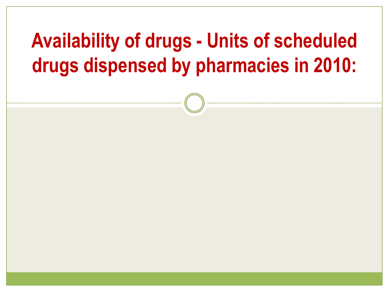### **Availability of drugs - Units of scheduled drugs dispensed by pharmacies in 2010:**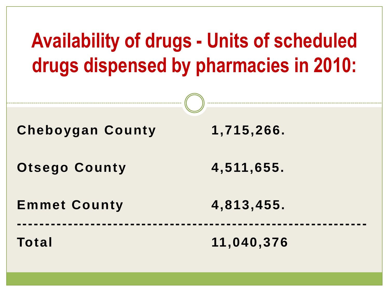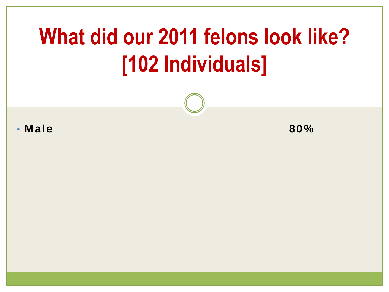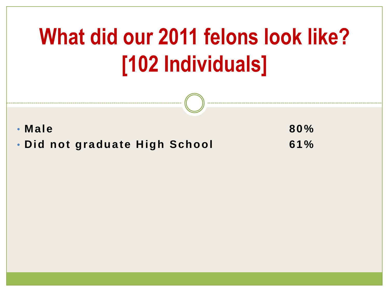• **Male 80%** • **Did not graduate High School 61%**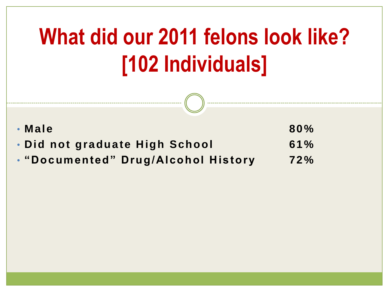| $\cdot$ Male                        | 80% |
|-------------------------------------|-----|
| • Did not graduate High School      | 61% |
| • "Documented" Drug/Alcohol History | 72% |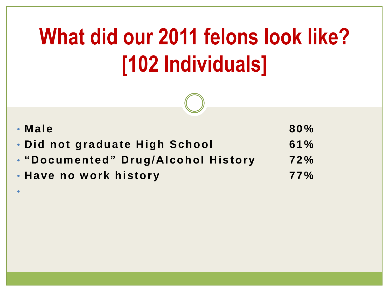| $\cdot$ Male                        | 80% |
|-------------------------------------|-----|
| . Did not graduate High School      | 61% |
| . "Documented" Drug/Alcohol History | 72% |
| • Have no work history              | 77% |

•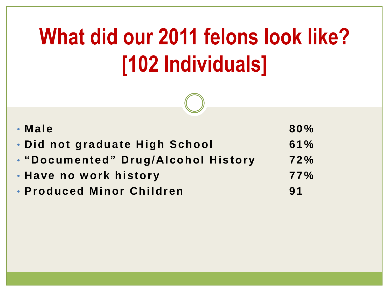| $\cdot$ Male                        | 80% |
|-------------------------------------|-----|
| . Did not graduate High School      | 61% |
| . "Documented" Drug/Alcohol History | 72% |
| . Have no work history              | 77% |
| • Produced Minor Children           | 91  |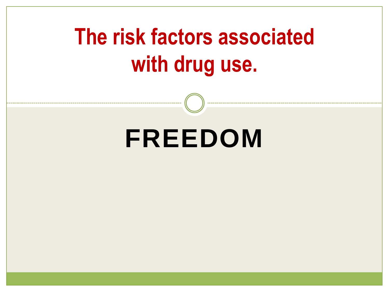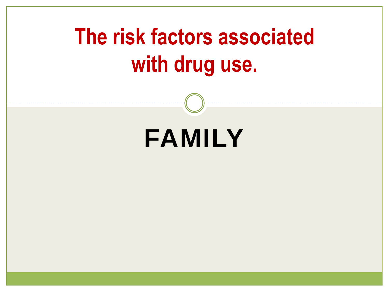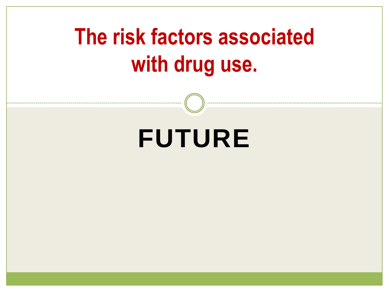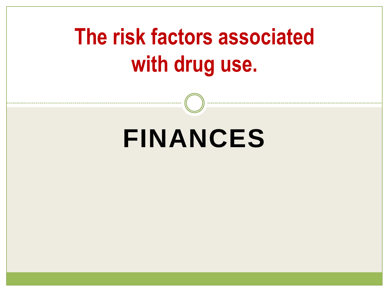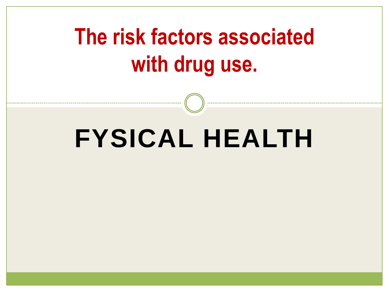# **FYSICAL HEALTH**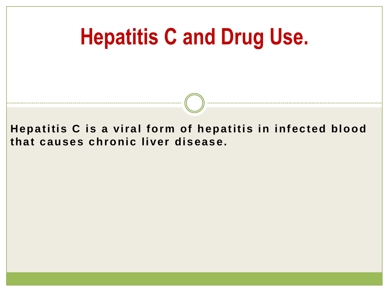**Hepatitis C is a viral form of hepatitis in infected blood that causes chronic liver disease.**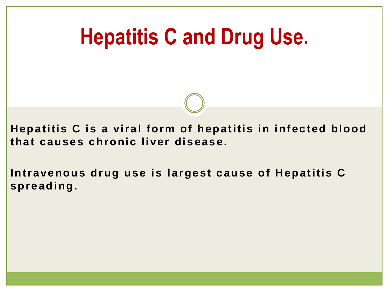**Hepatitis C is a viral form of hepatitis in infected blood that causes chronic liver disease.**

**Intravenous drug use is largest cause of Hepatitis C spreading.**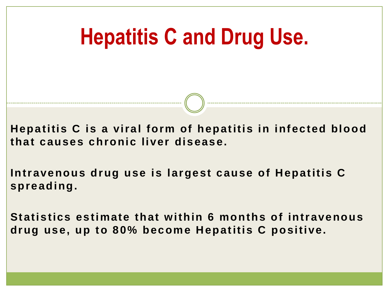**Hepatitis C is a viral form of hepatitis in infected blood that causes chronic liver disease.**

**Intravenous drug use is largest cause of Hepatitis C spreading.**

**Statistics estimate that within 6 months of intravenous drug use, up to 80% become Hepatitis C positive.**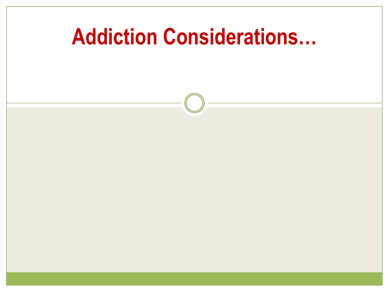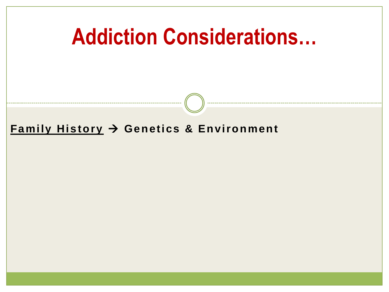# **Addiction Considerations…**

### **Family History Genetics & Environment**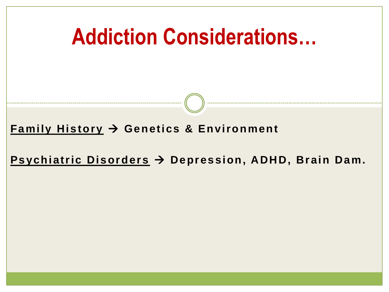

**Psychiatric Disorders Depression, ADHD, Brain Dam.**

**Addiction Considerations…**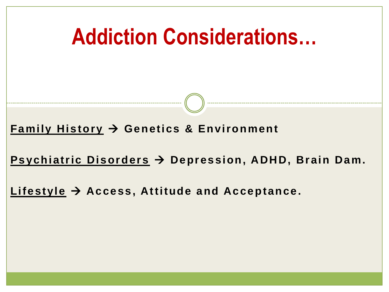**Family History Genetics & Environment**

**Psychiatric Disorders Depression, ADHD, Brain Dam.**

**Addiction Considerations…**

**Lifestyle Access, Attitude and Acceptance.**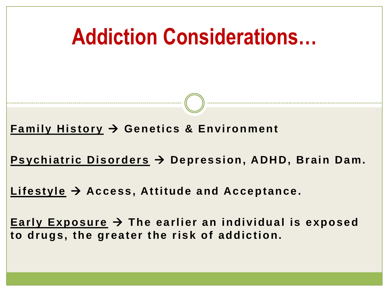**Family History Genetics & Environment**

**Psychiatric Disorders Depression, ADHD, Brain Dam.**

**Addiction Considerations…**

**Lifestyle Access, Attitude and Acceptance.**

**Early Exposure The earlier an individual is exposed to drugs, the greater the risk of addiction.**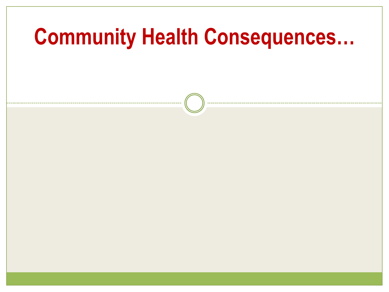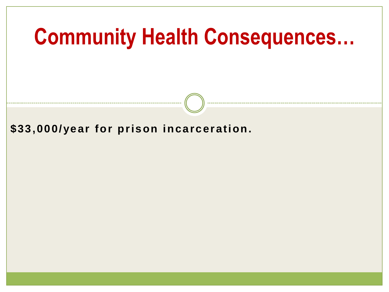**\$33,000/year for prison incarceration.**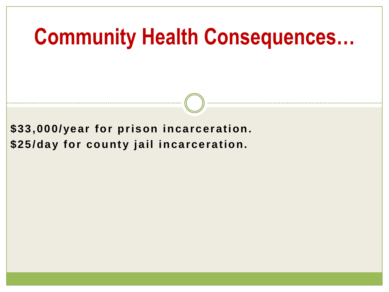**\$33,000/year for prison incarceration. \$25/day for county jail incarceration.**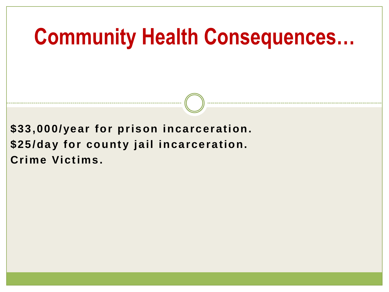**\$33,000/year for prison incarceration. \$25/day for county jail incarceration. Crime Victims.**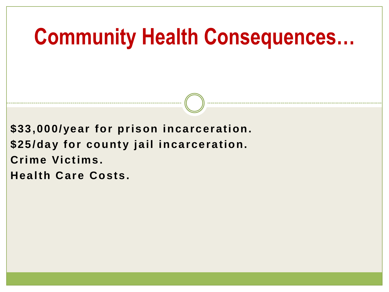**\$33,000/year for prison incarceration. \$25/day for county jail incarceration. Crime Victims. Health Care Costs.**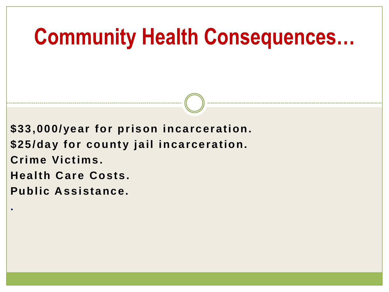**\$33,000/year for prison incarceration. \$25/day for county jail incarceration. Crime Victims. Health Care Costs. Public Assistance.**

**.**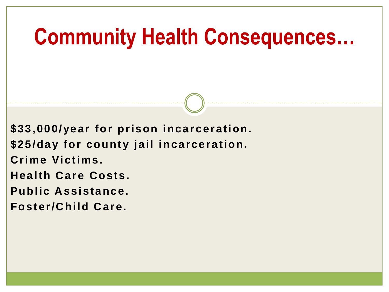**\$33,000/year for prison incarceration. \$25/day for county jail incarceration. Crime Victims. Health Care Costs. Public Assistance. Foster/Child Care.**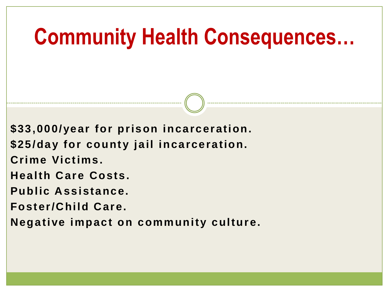**\$33,000/year for prison incarceration.**

**\$25/day for county jail incarceration.**

**Crime Victims.** 

**Health Care Costs.**

**Public Assistance.**

**Foster/Child Care.**

**Negative impact on community culture.**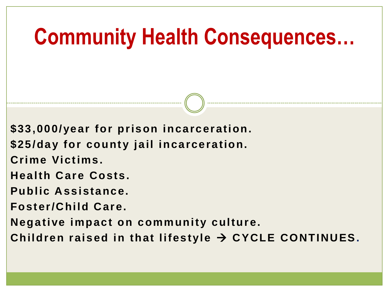**\$33,000/year for prison incarceration.**

**\$25/day for county jail incarceration.**

**Crime Victims.** 

**Health Care Costs.**

**Public Assistance.**

**Foster/Child Care.**

**Negative impact on community culture.**

Children raised in that lifestyle → CYCLE CONTINUES.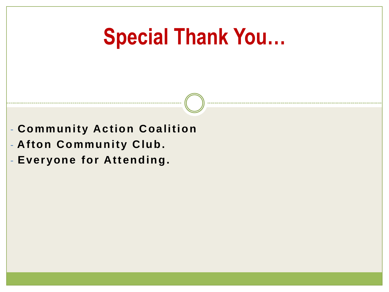### **Special Thank You…**

- **Community Action Coalition**
- **Afton Community Club.**
- **Everyone for Attending.**